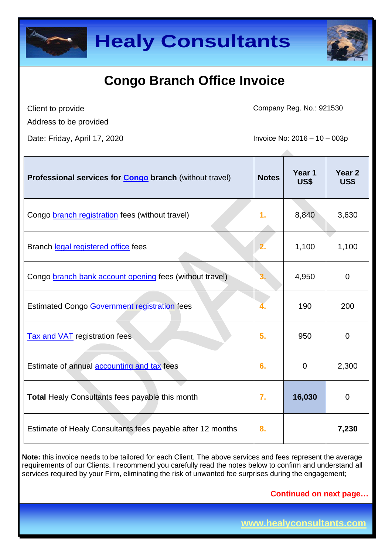



Client to provide

Company Reg. No.: 921530

Address to be provided

Date: Friday, April 17, 2020 **Invoice No: 2016** - 10 – 003p

| Professional services for <b>Congo</b> branch (without travel) | <b>Notes</b> | Year 1<br>US\$ | Year 2<br>US\$ |
|----------------------------------------------------------------|--------------|----------------|----------------|
| Congo <b>branch registration</b> fees (without travel)         | 1.           | 8,840          | 3,630          |
| Branch legal registered office fees                            |              | 1,100          | 1,100          |
| Congo branch bank account opening fees (without travel)        | 3.           | 4,950          | $\Omega$       |
| Estimated Congo Government registration fees                   |              | 190            | 200            |
| <b>Tax and VAT</b> registration fees                           | 5.           | 950            | $\mathbf 0$    |
| Estimate of annual accounting and tax fees                     | 6.           | $\Omega$       | 2,300          |
| <b>Total Healy Consultants fees payable this month</b>         | 7.           | 16,030         | $\overline{0}$ |
| Estimate of Healy Consultants fees payable after 12 months     | 8.           |                | 7,230          |

**Note:** this invoice needs to be tailored for each Client. The above services and fees represent the average requirements of our Clients. I recommend you carefully read the notes below to confirm and understand all services required by your Firm, eliminating the risk of unwanted fee surprises during the engagement;

**Continued on next page…**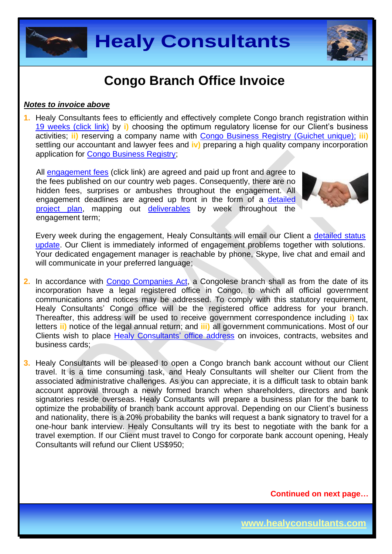



#### *Notes to invoice above*

**1.** Healy Consultants fees to efficiently and effectively complete Congo branch registration within [19 weeks \(click link\)](http://www.healyconsultants.com/congo-company-registration/fees-timelines/) by **i)** choosing the optimum regulatory license for our Client's business activities; **ii)** reserving a company name with [Congo Business Registry \(Guichet unique\);](http://fr.guichetunique.cd/) **iii)** settling our accountant and lawyer fees and **iv)** preparing a high quality company incorporation application for [Congo Business Registry;](http://fr.guichetunique.cd/)

All [engagement fees](http://www.healyconsultants.com/company-registration-fees/) (click link) are agreed and paid up front and agree to the fees published on our country web pages. Consequently, there are no hidden fees, surprises or ambushes throughout the engagement. All engagement deadlines are agreed up front in the form of a [detailed](http://www.healyconsultants.com/index-important-links/example-project-plan/)  [project plan,](http://www.healyconsultants.com/index-important-links/example-project-plan/) mapping out [deliverables](http://www.healyconsultants.com/deliverables-to-our-clients/) by week throughout the engagement term;



Every week during the engagement, Healy Consultants will email our Client a [detailed status](http://www.healyconsultants.com/index-important-links/weekly-engagement-status-email/)  [update.](http://www.healyconsultants.com/index-important-links/weekly-engagement-status-email/) Our Client is immediately informed of engagement problems together with solutions. Your dedicated engagement manager is reachable by phone, Skype, live chat and email and will communicate in your preferred language;

- **2.** In accordance with [Congo Companies Act,](http://www.ohada.com/actes-uniformes.html) a Congolese branch shall as from the date of its incorporation have a legal registered office in Congo, to which all official government communications and notices may be addressed. To comply with this statutory requirement, Healy Consultants' Congo office will be the registered office address for your branch. Thereafter, this address will be used to receive government correspondence including **i)** tax letters **ii)** notice of the legal annual return; and **iii)** all government communications. Most of our Clients wish to place [Healy Consultants'](http://www.healyconsultants.com/corporate-outsourcing-services/company-secretary-and-legal-registered-office/) office address on invoices, contracts, websites and business cards;
- **3.** Healy Consultants will be pleased to open a Congo branch bank account without our Client travel. It is a time consuming task, and Healy Consultants will shelter our Client from the associated administrative challenges. As you can appreciate, it is a difficult task to obtain bank account approval through a newly formed branch when shareholders, directors and bank signatories reside overseas. Healy Consultants will prepare a business plan for the bank to optimize the probability of branch bank account approval. Depending on our Client's business and nationality, there is a 20% probability the banks will request a bank signatory to travel for a one-hour bank interview. Healy Consultants will try its best to negotiate with the bank for a travel exemption. If our Client must travel to Congo for corporate bank account opening, Healy Consultants will refund our Client US\$950;

**Continued on next page…**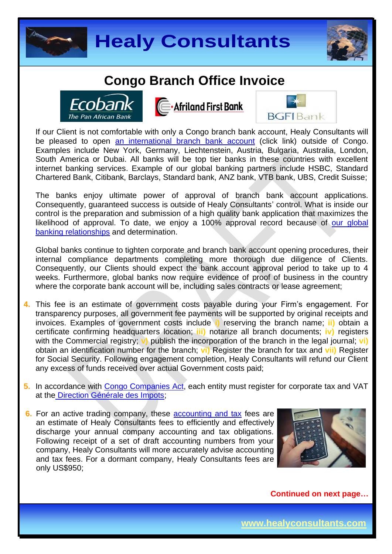





**E**. Afriland First Bank



If our Client is not comfortable with only a Congo branch bank account, Healy Consultants will be pleased to open [an international branch](http://www.healyconsultants.com/international-banking/) bank account (click link) outside of Congo. Examples include New York, Germany, Liechtenstein, Austria, Bulgaria, Australia, London, South America or Dubai. All banks will be top tier banks in these countries with excellent internet banking services. Example of our global banking partners include HSBC, Standard Chartered Bank, Citibank, Barclays, Standard bank, ANZ bank, VTB bank, UBS, Credit Suisse;

The banks enjoy ultimate power of approval of branch bank account applications. Consequently, guaranteed success is outside of Healy Consultants' control. What is inside our control is the preparation and submission of a high quality bank application that maximizes the likelihood of approval. To date, we enjoy a 100% approval record because of our global [banking relationships](http://www.healyconsultants.com/international-banking/corporate-accounts/) and determination.

Global banks continue to tighten corporate and branch bank account opening procedures, their internal compliance departments completing more thorough due diligence of Clients. Consequently, our Clients should expect the bank account approval period to take up to 4 weeks. Furthermore, global banks now require evidence of proof of business in the country where the corporate bank account will be, including sales contracts or lease agreement;

- **4.** This fee is an estimate of government costs payable during your Firm's engagement. For transparency purposes, all government fee payments will be supported by original receipts and invoices. Examples of government costs include **i)** reserving the branch name; **ii)** obtain a certificate confirming headquarters location; **iii)** notarize all branch documents; **iv)** registers with the Commercial registry; **v)** publish the incorporation of the branch in the legal journal; **vi)** obtain an identification number for the branch; **vi)** Register the branch for tax and **vii)** Register for Social Security. Following engagement completion, Healy Consultants will refund our Client any excess of funds received over actual Government costs paid;
- **5.** In accordance with [Congo Companies Act,](http://www.ohada.com/actes-uniformes.html) each entity must register for corporate tax and VAT at the [Direction Générale des Impots;](http://www.dgi.gouv.cd/)
- **6.** For an active trading company, these [accounting and tax](http://www.healyconsultants.com/congo-company-registration/accounting-legal/) fees are an estimate of Healy Consultants fees to efficiently and effectively discharge your annual company accounting and tax obligations. Following receipt of a set of draft accounting numbers from your company, Healy Consultants will more accurately advise accounting and tax fees. For a dormant company, Healy Consultants fees are only US\$950;



**Continued on next page…**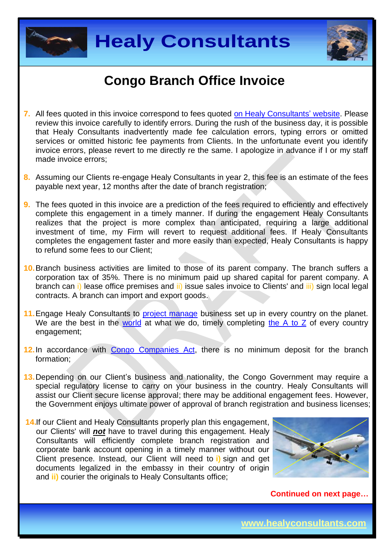



- **7.** All fees quoted in this invoice correspond to fees quoted [on Healy Consultants'](http://www.healyconsultants.com/company-registration-fees/) website. Please review this invoice carefully to identify errors. During the rush of the business day, it is possible that Healy Consultants inadvertently made fee calculation errors, typing errors or omitted services or omitted historic fee payments from Clients. In the unfortunate event you identify invoice errors, please revert to me directly re the same. I apologize in advance if I or my staff made invoice errors;
- **8.** Assuming our Clients re-engage Healy Consultants in year 2, this fee is an estimate of the fees payable next year, 12 months after the date of branch registration;
- **9.** The fees quoted in this invoice are a prediction of the fees required to efficiently and effectively complete this engagement in a timely manner. If during the engagement Healy Consultants realizes that the project is more complex than anticipated, requiring a large additional investment of time, my Firm will revert to request additional fees. If Healy Consultants completes the engagement faster and more easily than expected, Healy Consultants is happy to refund some fees to our Client;
- **10.**Branch business activities are limited to those of its parent company. The branch suffers a corporation tax of 35%. There is no minimum paid up shared capital for parent company. A branch can i) lease office premises and *ii*) issue sales invoice to Clients' and *iii*) sign local legal contracts. A branch can import and export goods.
- **11.**Engage Healy Consultants to [project manage](http://www.healyconsultants.com/project-manage-engagements/) business set up in every country on the planet. We are the best in the [world](http://www.healyconsultants.com/best-in-the-world/) at what we do, timely completing [the A to Z](http://www.healyconsultants.com/a-to-z-of-business-set-up/) of every country engagement;
- 12. In accordance with [Congo Companies Act,](http://www.ohada.com/actes-uniformes.html) there is no minimum deposit for the branch formation;
- **13.**Depending on our Client's business and nationality, the Congo Government may require a special regulatory license to carry on your business in the country. Healy Consultants will assist our Client secure license approval; there may be additional engagement fees. However, the Government enjoys ultimate power of approval of branch registration and business licenses;
- **14.**If our Client and Healy Consultants properly plan this engagement, our Clients' will *not* have to travel during this engagement. Healy Consultants will efficiently complete branch registration and corporate bank account opening in a timely manner without our Client presence. Instead, our Client will need to **i)** sign and get documents legalized in the embassy in their country of origin and **ii)** courier the originals to Healy Consultants office;



**Continued on next page…**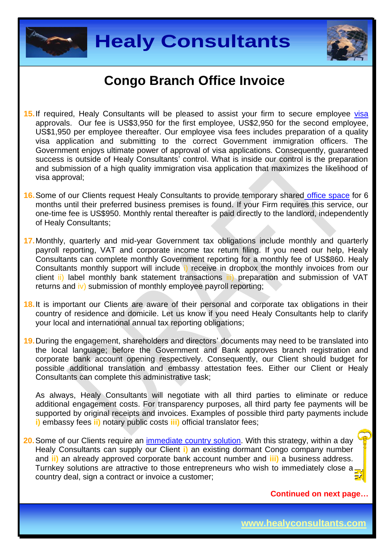



- **15.**If required, Healy Consultants will be pleased to assist your firm to secure employee [visa](http://www.healyconsultants.com/corporate-advisory-services/migration/) approvals. Our fee is US\$3,950 for the first employee, US\$2,950 for the second employee, US\$1,950 per employee thereafter. Our employee visa fees includes preparation of a quality visa application and submitting to the correct Government immigration officers. The Government enjoys ultimate power of approval of visa applications. Consequently, guaranteed success is outside of Healy Consultants' control. What is inside our control is the preparation and submission of a high quality immigration visa application that maximizes the likelihood of visa approval;
- **16.**Some of our Clients request Healy Consultants to provide temporary shared [office space](http://www.healyconsultants.com/virtual-office/) for 6 months until their preferred business premises is found. If your Firm requires this service, our one-time fee is US\$950. Monthly rental thereafter is paid directly to the landlord, independently of Healy Consultants;
- **17.**Monthly, quarterly and mid-year Government tax obligations include monthly and quarterly payroll reporting, VAT and corporate income tax return filing. If you need our help, Healy Consultants can complete monthly Government reporting for a monthly fee of US\$860. Healy Consultants monthly support will include i) receive in dropbox the monthly invoices from our client ii) label monthly bank statement transactions iii) preparation and submission of VAT returns and  $\mathbf{iv}$ ) submission of monthly employee payroll reporting;
- **18.**It is important our Clients are aware of their personal and corporate tax obligations in their country of residence and domicile. Let us know if you need Healy Consultants help to clarify your local and international annual tax reporting obligations;
- **19.**During the engagement, shareholders and directors' documents may need to be translated into the local language; before the Government and Bank approves branch registration and corporate bank account opening respectively. Consequently, our Client should budget for possible additional translation and embassy attestation fees. Either our Client or Healy Consultants can complete this administrative task;

As always, Healy Consultants will negotiate with all third parties to eliminate or reduce additional engagement costs. For transparency purposes, all third party fee payments will be supported by original receipts and invoices. Examples of possible third party payments include **i)** embassy fees **ii)** notary public costs **iii)** official translator fees;

**20.**Some of our Clients require an [immediate country](http://www.healyconsultants.com/turnkey-solutions/) solution. With this strategy, within a day Healy Consultants can supply our Client **i)** an existing dormant Congo company number and **ii)** an already approved corporate bank account number and **iii)** a business address. Turnkey solutions are attractive to those entrepreneurs who wish to immediately close a country deal, sign a contract or invoice a customer;

**Continued on next page…**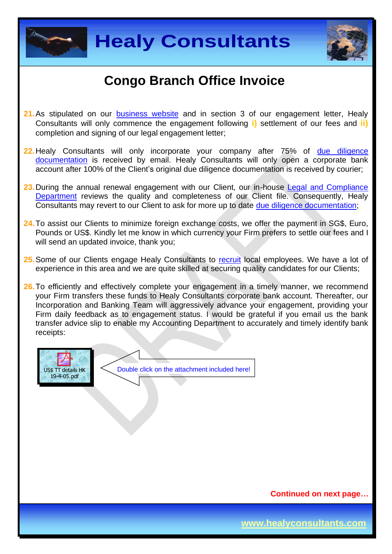



- **21.**As stipulated on our [business website](http://www.healyconsultants.com/) and in section 3 of our engagement letter, Healy Consultants will only commence the engagement following **i)** settlement of our fees and **ii)** completion and signing of our legal engagement letter;
- **22.** Healy Consultants will only incorporate your company after 75% of due diligence [documentation](http://www.healyconsultants.com/due-diligence/) is received by email. Healy Consultants will only open a corporate bank account after 100% of the Client's original due diligence documentation is received by courier;
- 23. During the annual renewal engagement with our Client, our in-house Legal and Compliance [Department](http://www.healyconsultants.com/about-us/key-personnel/cai-xin-profile/) reviews the quality and completeness of our Client file. Consequently, Healy Consultants may revert to our Client to ask for more up to date [due diligence documentation;](http://www.healyconsultants.com/due-diligence/)
- **24.**To assist our Clients to minimize foreign exchange costs, we offer the payment in SG\$, Euro, Pounds or US\$. Kindly let me know in which currency your Firm prefers to settle our fees and I will send an updated invoice, thank you:
- **25.**Some of our Clients engage Healy Consultants to [recruit](http://www.healyconsultants.com/corporate-outsourcing-services/how-we-help-our-clients-recruit-quality-employees/) local employees. We have a lot of experience in this area and we are quite skilled at securing quality candidates for our Clients;
- **26.** To efficiently and effectively complete your engagement in a timely manner, we recommend your Firm transfers these funds to Healy Consultants corporate bank account. Thereafter, our Incorporation and Banking Team will aggressively advance your engagement, providing your Firm daily feedback as to engagement status. I would be grateful if you email us the bank transfer advice slip to enable my Accounting Department to accurately and timely identify bank receipts:



**Continued on next page…**